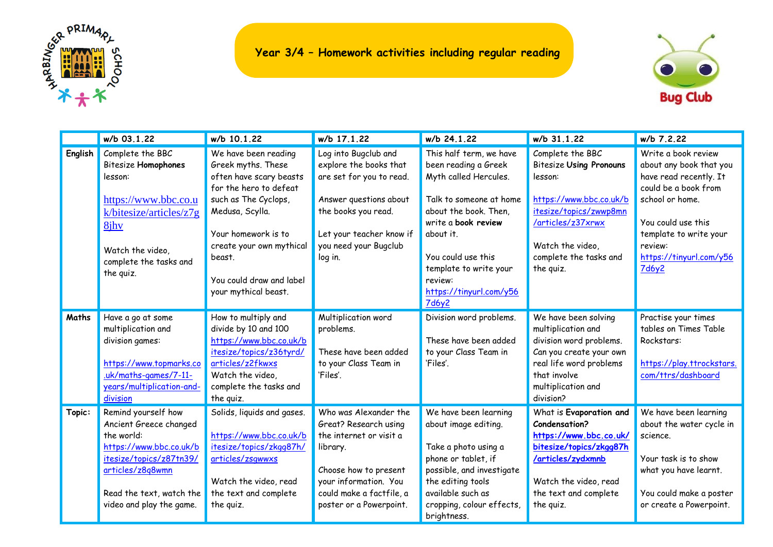



|         | w/b 03.1.22                | w/b 10.1.22                | w/b 17.1.22              | w/b 24.1.22               | w/b 31.1.22                    | w/b 7.2.22                |
|---------|----------------------------|----------------------------|--------------------------|---------------------------|--------------------------------|---------------------------|
| English | Complete the BBC           | We have been reading       | Log into Bugclub and     | This half term, we have   | Complete the BBC               | Write a book review       |
|         | <b>Bitesize Homophones</b> | Greek myths. These         | explore the books that   | been reading a Greek      | <b>Bitesize Using Pronouns</b> | about any book that you   |
|         | lesson:                    | often have scary beasts    | are set for you to read. | Myth called Hercules.     | lesson:                        | have read recently. It    |
|         |                            | for the hero to defeat     |                          |                           |                                | could be a book from      |
|         | https://www.bbc.co.u       | such as The Cyclops,       | Answer questions about   | Talk to someone at home   | https://www.bbc.co.uk/b        | school or home.           |
|         | k/bitesize/articles/z7g    | Medusa, Scylla.            | the books you read.      | about the book. Then,     | itesize/topics/zwwp8mn         |                           |
|         | 8jhv                       |                            |                          | write a book review       | /articles/z37xrwx              | You could use this        |
|         |                            | Your homework is to        | Let your teacher know if | about it.                 |                                | template to write your    |
|         | Watch the video.           | create your own mythical   | you need your Bugclub    |                           | Watch the video,               | review:                   |
|         | complete the tasks and     | beast.                     | log in.                  | You could use this        | complete the tasks and         | https://tinyurl.com/y56   |
|         | the quiz.                  |                            |                          | template to write your    | the quiz.                      | 7d6y2                     |
|         |                            | You could draw and label   |                          | review:                   |                                |                           |
|         |                            | your mythical beast.       |                          | https://tinyurl.com/y56   |                                |                           |
|         |                            |                            |                          | 7d6y2                     |                                |                           |
| Maths   | Have a go at some          | How to multiply and        | Multiplication word      | Division word problems.   | We have been solving           | Practise your times       |
|         | multiplication and         | divide by 10 and 100       | problems.                |                           | multiplication and             | tables on Times Table     |
|         | division games:            | https://www.bbc.co.uk/b    |                          | These have been added     | division word problems.        | Rockstars:                |
|         |                            | itesize/topics/z36tyrd/    | These have been added    | to your Class Team in     | Can you create your own        |                           |
|         | https://www.topmarks.co    | articles/z2fkwxs           | to your Class Team in    | 'Files'.                  | real life word problems        | https://play.ttrockstars. |
|         | .uk/maths-games/7-11-      | Watch the video,           | 'Files'.                 |                           | that involve                   | com/ttrs/dashboard        |
|         | years/multiplication-and-  | complete the tasks and     |                          |                           | multiplication and             |                           |
|         | division                   | the quiz.                  |                          |                           | division?                      |                           |
| Topic:  | Remind yourself how        | Solids, liquids and gases. | Who was Alexander the    | We have been learning     | What is Evaporation and        | We have been learning     |
|         | Ancient Greece changed     |                            | Great? Research using    | about image editing.      | Condensation?                  | about the water cycle in  |
|         | the world:                 | https://www.bbc.co.uk/b    | the internet or visit a  |                           | https://www.bbc.co.uk/         | science.                  |
|         | https://www.bbc.co.uk/b    | itesize/topics/zkgg87h/    | library.                 | Take a photo using a      | bitesize/topics/zkgg87h        |                           |
|         | itesize/topics/z87tn39/    | articles/zsqwwxs           |                          | phone or tablet, if       | /articles/zydxmnb              | Your task is to show      |
|         | articles/z8q8wmn           |                            | Choose how to present    | possible, and investigate |                                | what you have learnt.     |
|         |                            | Watch the video, read      | your information. You    | the editing tools         | Watch the video, read          |                           |
|         | Read the text, watch the   | the text and complete      | could make a factfile, a | available such as         | the text and complete          | You could make a poster   |
|         | video and play the game.   | the quiz.                  | poster or a Powerpoint.  | cropping, colour effects, | the quiz.                      | or create a Powerpoint.   |
|         |                            |                            |                          | brightness.               |                                |                           |